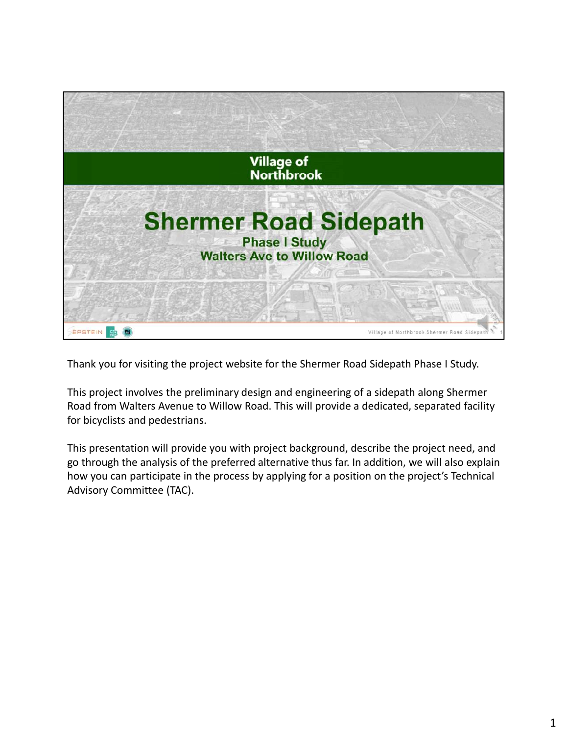

Thank you for visiting the project website for the Shermer Road Sidepath Phase I Study.

This project involves the preliminary design and engineering of a sidepath along Shermer Road from Walters Avenue to Willow Road. This will provide a dedicated, separated facility for bicyclists and pedestrians.

This presentation will provide you with project background, describe the project need, and go through the analysis of the preferred alternative thus far. In addition, we will also explain how you can participate in the process by applying for a position on the project's Technical Advisory Committee (TAC).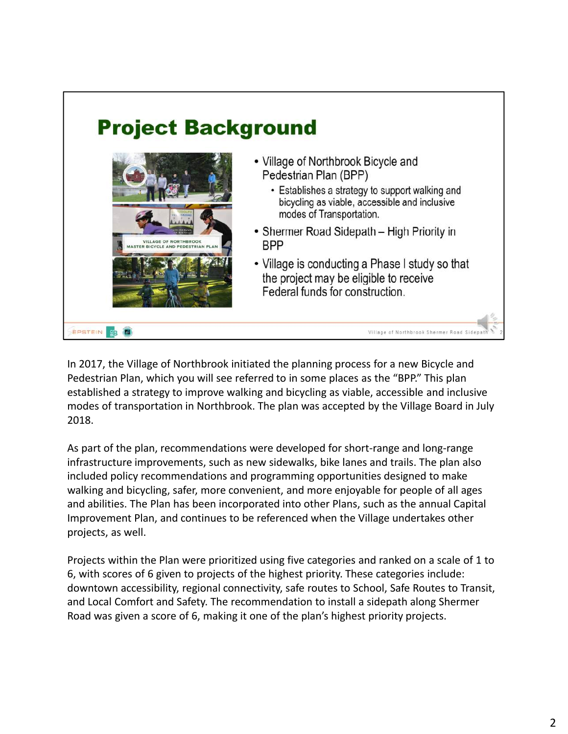

In 2017, the Village of Northbrook initiated the planning process for a new Bicycle and Pedestrian Plan, which you will see referred to in some places as the "BPP." This plan established a strategy to improve walking and bicycling as viable, accessible and inclusive modes of transportation in Northbrook. The plan was accepted by the Village Board in July 2018.

As part of the plan, recommendations were developed for short-range and long-range infrastructure improvements, such as new sidewalks, bike lanes and trails. The plan also included policy recommendations and programming opportunities designed to make walking and bicycling, safer, more convenient, and more enjoyable for people of all ages and abilities. The Plan has been incorporated into other Plans, such as the annual Capital Improvement Plan, and continues to be referenced when the Village undertakes other projects, as well.

Projects within the Plan were prioritized using five categories and ranked on a scale of 1 to 6, with scores of 6 given to projects of the highest priority. These categories include: downtown accessibility, regional connectivity, safe routes to School, Safe Routes to Transit, and Local Comfort and Safety. The recommendation to install a sidepath along Shermer Road was given a score of 6, making it one of the plan's highest priority projects.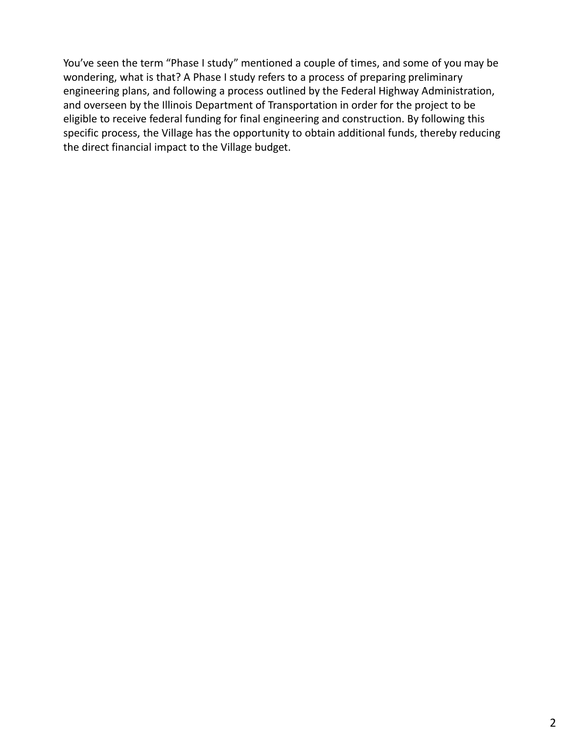You've seen the term "Phase I study" mentioned a couple of times, and some of you may be wondering, what is that? A Phase I study refers to a process of preparing preliminary engineering plans, and following a process outlined by the Federal Highway Administration, and overseen by the Illinois Department of Transportation in order for the project to be eligible to receive federal funding for final engineering and construction. By following this specific process, the Village has the opportunity to obtain additional funds, thereby reducing the direct financial impact to the Village budget.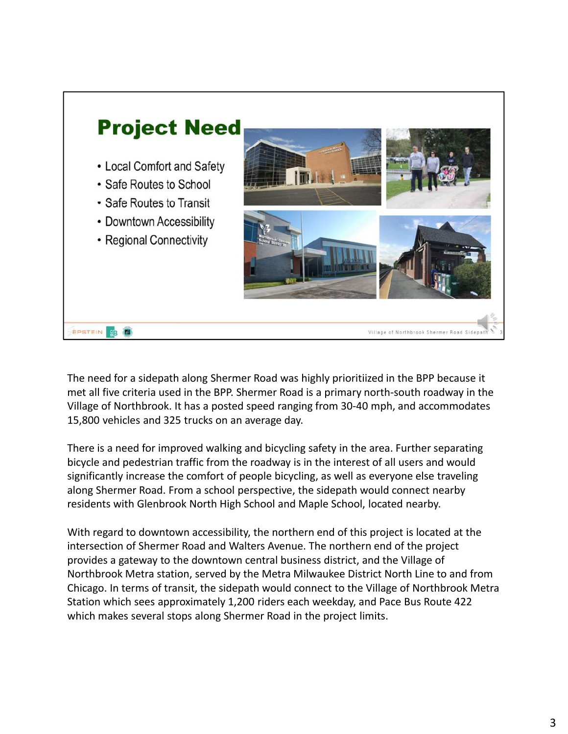

The need for a sidepath along Shermer Road was highly prioritiized in the BPP because it met all five criteria used in the BPP. Shermer Road is a primary north-south roadway in the Village of Northbrook. It has a posted speed ranging from 30-40 mph, and accommodates 15,800 vehicles and 325 trucks on an average day.

There is a need for improved walking and bicycling safety in the area. Further separating bicycle and pedestrian traffic from the roadway is in the interest of all users and would significantly increase the comfort of people bicycling, as well as everyone else traveling along Shermer Road. From a school perspective, the sidepath would connect nearby residents with Glenbrook North High School and Maple School, located nearby.

With regard to downtown accessibility, the northern end of this project is located at the intersection of Shermer Road and Walters Avenue. The northern end of the project provides a gateway to the downtown central business district, and the Village of Northbrook Metra station, served by the Metra Milwaukee District North Line to and from Chicago. In terms of transit, the sidepath would connect to the Village of Northbrook Metra Station which sees approximately 1,200 riders each weekday, and Pace Bus Route 422 which makes several stops along Shermer Road in the project limits.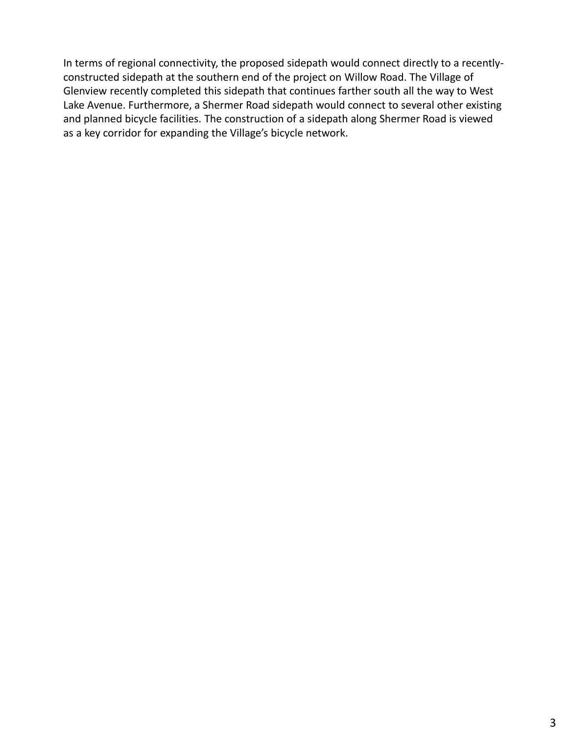In terms of regional connectivity, the proposed sidepath would connect directly to a recentlyconstructed sidepath at the southern end of the project on Willow Road. The Village of Glenview recently completed this sidepath that continues farther south all the way to West Lake Avenue. Furthermore, a Shermer Road sidepath would connect to several other existing and planned bicycle facilities. The construction of a sidepath along Shermer Road is viewed as a key corridor for expanding the Village's bicycle network.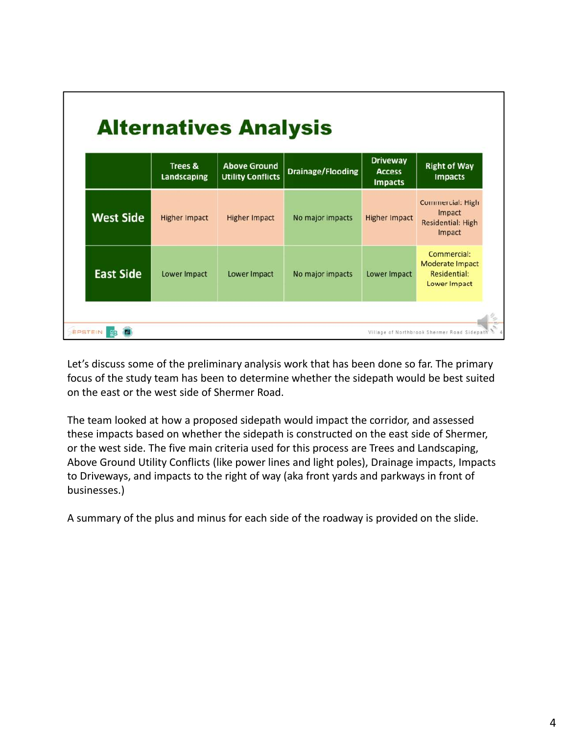|                  | <b>Trees &amp;</b><br>Landscaping | <b>Above Ground</b><br><b>Utility Conflicts</b> | <b>Drainage/Flooding</b> | <b>Driveway</b><br><b>Access</b><br><b>Impacts</b> | <b>Right of Way</b><br><b>Impacts</b>                                   |
|------------------|-----------------------------------|-------------------------------------------------|--------------------------|----------------------------------------------------|-------------------------------------------------------------------------|
| <b>West Side</b> | <b>Higher Impact</b>              | <b>Higher Impact</b>                            | No major impacts         | <b>Higher Impact</b>                               | <b>Commercial: High</b><br>Impact<br><b>Residential: High</b><br>Impact |
| <b>East Side</b> | Lower Impact                      | Lower Impact                                    | No major impacts         | Lower Impact                                       | Commercial:<br><b>Moderate Impact</b><br>Residential:<br>Lower Impact   |

Let's discuss some of the preliminary analysis work that has been done so far. The primary focus of the study team has been to determine whether the sidepath would be best suited on the east or the west side of Shermer Road.

The team looked at how a proposed sidepath would impact the corridor, and assessed these impacts based on whether the sidepath is constructed on the east side of Shermer, or the west side. The five main criteria used for this process are Trees and Landscaping, Above Ground Utility Conflicts (like power lines and light poles), Drainage impacts, Impacts to Driveways, and impacts to the right of way (aka front yards and parkways in front of businesses.)

A summary of the plus and minus for each side of the roadway is provided on the slide.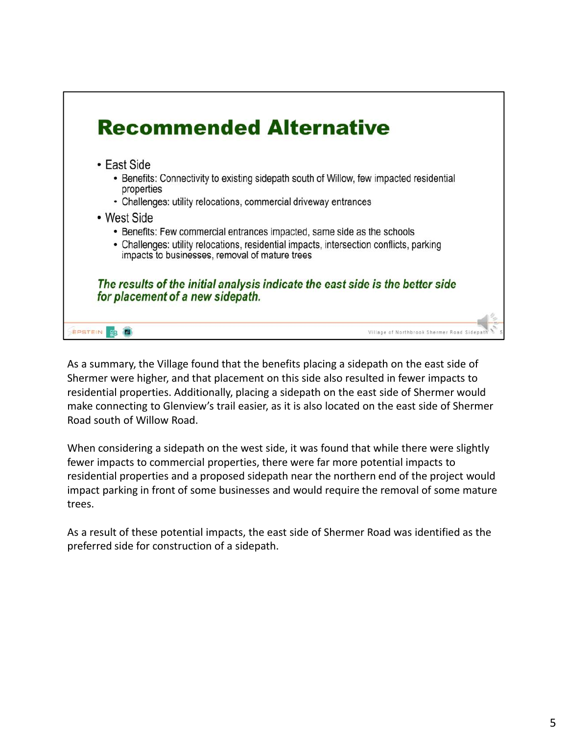

As a summary, the Village found that the benefits placing a sidepath on the east side of Shermer were higher, and that placement on this side also resulted in fewer impacts to residential properties. Additionally, placing a sidepath on the east side of Shermer would make connecting to Glenview's trail easier, as it is also located on the east side of Shermer Road south of Willow Road.

When considering a sidepath on the west side, it was found that while there were slightly fewer impacts to commercial properties, there were far more potential impacts to residential properties and a proposed sidepath near the northern end of the project would impact parking in front of some businesses and would require the removal of some mature trees.

As a result of these potential impacts, the east side of Shermer Road was identified as the preferred side for construction of a sidepath.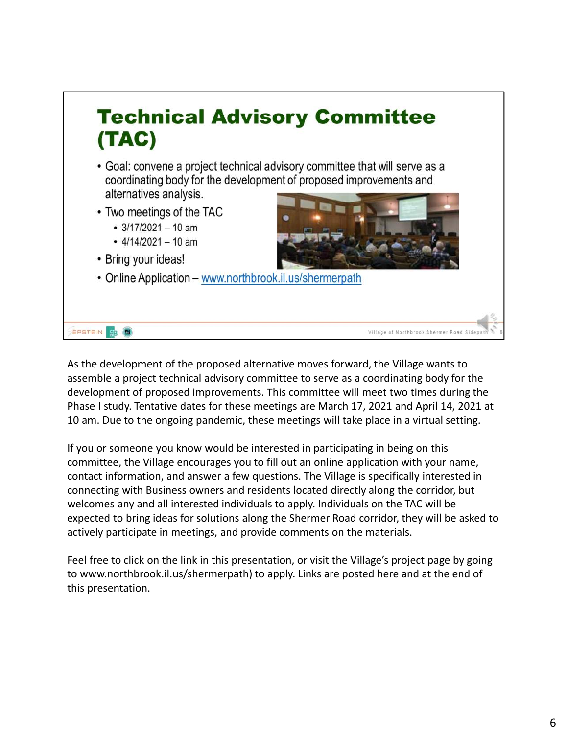

As the development of the proposed alternative moves forward, the Village wants to assemble a project technical advisory committee to serve as a coordinating body for the development of proposed improvements. This committee will meet two times during the Phase I study. Tentative dates for these meetings are March 17, 2021 and April 14, 2021 at 10 am. Due to the ongoing pandemic, these meetings will take place in a virtual setting.

If you or someone you know would be interested in participating in being on this committee, the Village encourages you to fill out an online application with your name, contact information, and answer a few questions. The Village is specifically interested in connecting with Business owners and residents located directly along the corridor, but welcomes any and all interested individuals to apply. Individuals on the TAC will be expected to bring ideas for solutions along the Shermer Road corridor, they will be asked to actively participate in meetings, and provide comments on the materials.

Feel free to click on the link in this presentation, or visit the Village's project page by going to www.northbrook.il.us/shermerpath) to apply. Links are posted here and at the end of this presentation.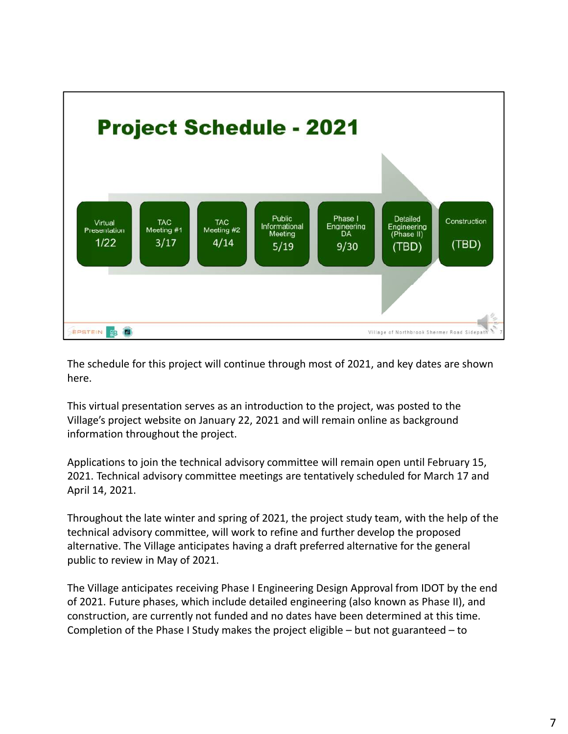

The schedule for this project will continue through most of 2021, and key dates are shown here.

This virtual presentation serves as an introduction to the project, was posted to the Village's project website on January 22, 2021 and will remain online as background information throughout the project.

Applications to join the technical advisory committee will remain open until February 15, 2021. Technical advisory committee meetings are tentatively scheduled for March 17 and April 14, 2021.

Throughout the late winter and spring of 2021, the project study team, with the help of the technical advisory committee, will work to refine and further develop the proposed alternative. The Village anticipates having a draft preferred alternative for the general public to review in May of 2021.

The Village anticipates receiving Phase I Engineering Design Approval from IDOT by the end of 2021. Future phases, which include detailed engineering (also known as Phase II), and construction, are currently not funded and no dates have been determined at this time. Completion of the Phase I Study makes the project eligible – but not guaranteed – to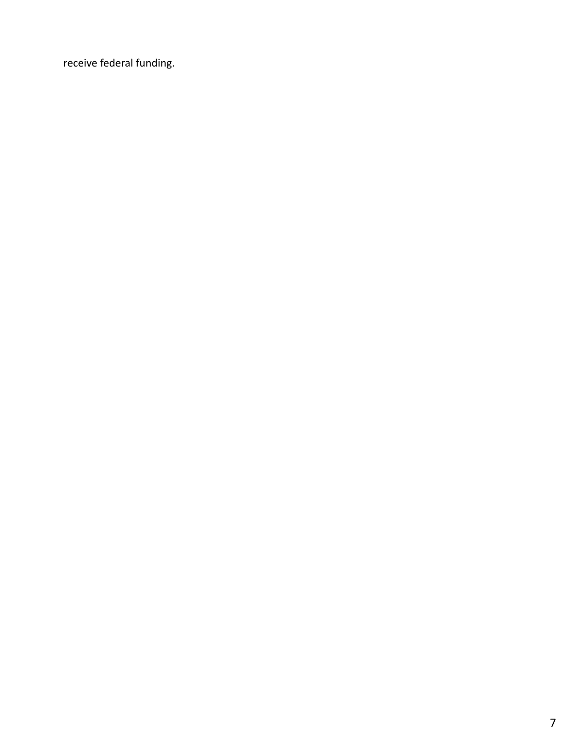receive federal funding.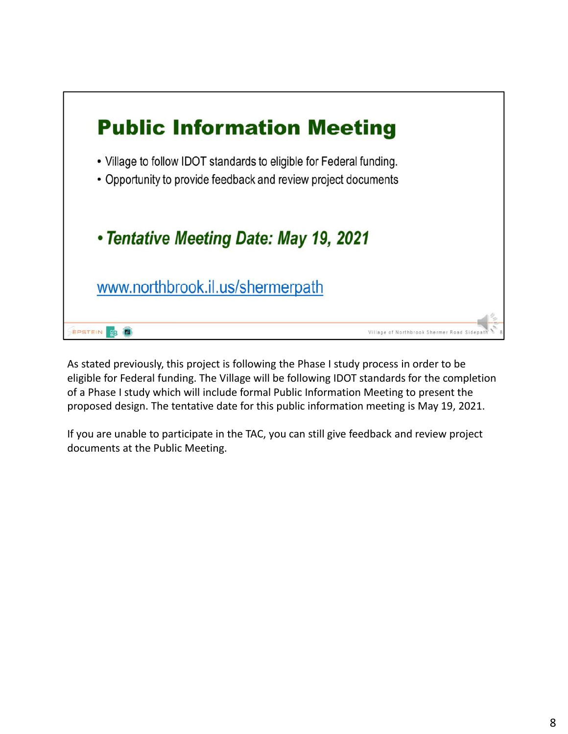

As stated previously, this project is following the Phase I study process in order to be eligible for Federal funding. The Village will be following IDOT standards for the completion of a Phase I study which will include formal Public Information Meeting to present the proposed design. The tentative date for this public information meeting is May 19, 2021.

If you are unable to participate in the TAC, you can still give feedback and review project documents at the Public Meeting.